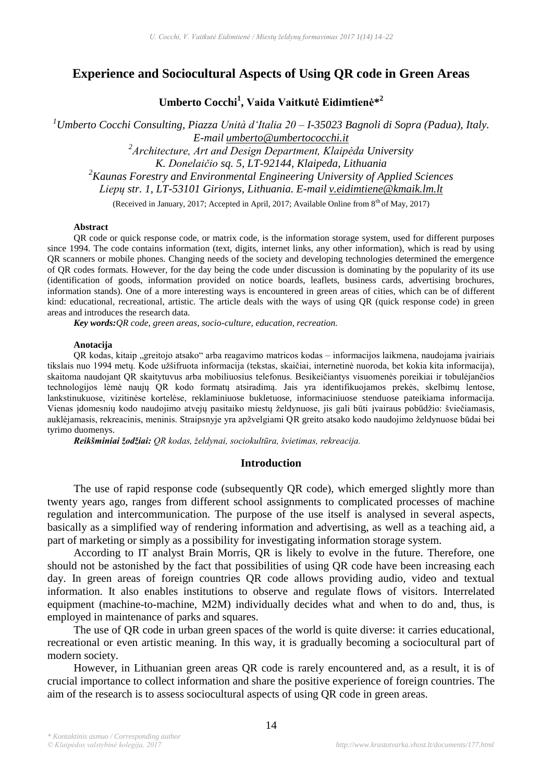# **Experience and Sociocultural Aspects of Using QR code in Green Areas**

**Umberto Cocchi<sup>1</sup> , Vaida Vaitkutė Eidimtienė\* 2**

*<sup>1</sup>Umberto Cocchi Consulting, Piazza Unità d'Italia 20 – I-35023 Bagnoli di Sopra (Padua), Italy. E-mail umberto@umbertococchi.it 2 Architecture, Art and Design Department, Klaipėda University K. Donelaičio sq. 5, LT-92144, Klaipeda, Lithuania <sup>2</sup>Kaunas Forestry and Environmental Engineering University of Applied Sciences Liepų str. 1, LT-53101 Girionys, Lithuania. E-mail v.eidimtiene@kmaik.lm.lt* (Received in January, 2017; Accepted in April, 2017; Available Online from 8<sup>th</sup> of May, 2017)

#### **Abstract**

QR code or quick response code, or matrix code, is the information storage system, used for different purposes since 1994. The code contains information (text, digits, internet links, any other information), which is read by using QR scanners or mobile phones. Changing needs of the society and developing technologies determined the emergence of QR codes formats. However, for the day being the code under discussion is dominating by the popularity of its use (identification of goods, information provided on notice boards, leaflets, business cards, advertising brochures, information stands). One of a more interesting ways is encountered in green areas of cities, which can be of different kind: educational, recreational, artistic. The article deals with the ways of using QR (quick response code) in green areas and introduces the research data.

*Key words:QR code, green areas, socio-culture, education, recreation.*

#### **Anotacija**

QR kodas, kitaip "greitojo atsako" arba reagavimo matricos kodas – informacijos laikmena, naudojama įvairiais tikslais nuo 1994 metų. Kode užšifruota informacija (tekstas, skaičiai, internetinė nuoroda, bet kokia kita informacija), skaitoma naudojant QR skaitytuvus arba mobiliuosius telefonus. Besikeičiantys visuomenės poreikiai ir tobulėjančios technologijos lėmė naujų QR kodo formatų atsiradimą. Jais yra identifikuojamos prekės, skelbimų lentose, lankstinukuose, vizitinėse kortelėse, reklaminiuose bukletuose, informaciniuose stenduose pateikiama informacija. Vienas įdomesnių kodo naudojimo atvejų pasitaiko miestų želdynuose, jis gali būti įvairaus pobūdžio: šviečiamasis, auklėjamasis, rekreacinis, meninis. Straipsnyje yra apžvelgiami QR greito atsako kodo naudojimo želdynuose būdai bei tyrimo duomenys.

*Reikšminiai žodžiai: QR kodas, želdynai, sociokultūra, švietimas, rekreacija.*

#### **Introduction**

The use of rapid response code (subsequently QR code), which emerged slightly more than twenty years ago, ranges from different school assignments to complicated processes of machine regulation and intercommunication. The purpose of the use itself is analysed in several aspects, basically as a simplified way of rendering information and advertising, as well as a teaching aid, a part of marketing or simply as a possibility for investigating information storage system.

According to IT analyst Brain Morris, QR is likely to evolve in the future. Therefore, one should not be astonished by the fact that possibilities of using QR code have been increasing each day. In green areas of foreign countries QR code allows providing audio, video and textual information. It also enables institutions to observe and regulate flows of visitors. Interrelated equipment (machine-to-machine, M2M) individually decides what and when to do and, thus, is employed in maintenance of parks and squares.

The use of QR code in urban green spaces of the world is quite diverse: it carries educational, recreational or even artistic meaning. In this way, it is gradually becoming a sociocultural part of modern society.

However, in Lithuanian green areas QR code is rarely encountered and, as a result, it is of crucial importance to collect information and share the positive experience of foreign countries. The aim of the research is to assess sociocultural aspects of using QR code in green areas.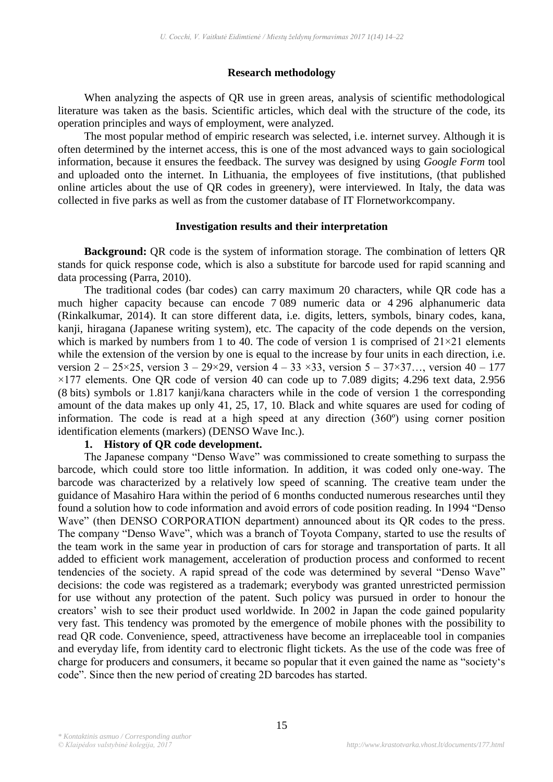### **Research methodology**

When analyzing the aspects of QR use in green areas, analysis of scientific methodological literature was taken as the basis. Scientific articles, which deal with the structure of the code, its operation principles and ways of employment, were analyzed.

The most popular method of empiric research was selected, i.e. internet survey. Although it is often determined by the internet access, this is one of the most advanced ways to gain sociological information, because it ensures the feedback. The survey was designed by using *Google Form* tool and uploaded onto the internet. In Lithuania, the employees of five institutions, (that published online articles about the use of QR codes in greenery), were interviewed. In Italy, the data was collected in five parks as well as from the customer database of IT Flornetworkcompany.

### **Investigation results and their interpretation**

**Background:** QR code is the system of information storage. The combination of letters QR stands for quick response code, which is also a substitute for barcode used for rapid scanning and data processing (Parra, 2010).

The traditional codes (bar codes) can carry maximum 20 characters, while QR code has a much higher capacity because can encode 7 089 numeric data or 4 296 alphanumeric data (Rinkalkumar, 2014). It can store different data, i.e. digits, letters, symbols, binary codes, kana, kanji, hiragana (Japanese writing system), etc. The capacity of the code depends on the version, which is marked by numbers from 1 to 40. The code of version 1 is comprised of  $21 \times 21$  elements while the extension of the version by one is equal to the increase by four units in each direction, i.e. version  $2 - 25 \times 25$ , version  $3 - 29 \times 29$ , version  $4 - 33 \times 33$ , version  $5 - 37 \times 37$ ..., version  $40 - 177$ ×177 elements. One QR code of version 40 can code up to 7.089 digits; 4.296 text data, 2.956 (8 bits) symbols or 1.817 kanji/kana characters while in the code of version 1 the corresponding amount of the data makes up only 41, 25, 17, 10. Black and white squares are used for coding of information. The code is read at a high speed at any direction (360º) using corner position identification elements (markers) (DENSO Wave Inc.).

## **1. History of QR code development.**

The Japanese company "Denso Wave" was commissioned to create something to surpass the barcode, which could store too little information. In addition, it was coded only one-way. The barcode was characterized by a relatively low speed of scanning. The creative team under the guidance of Masahiro Hara within the period of 6 months conducted numerous researches until they found a solution how to code information and avoid errors of code position reading. In 1994 "Denso Wave" (then DENSO CORPORATION department) announced about its QR codes to the press. The company "Denso Wave", which was a branch of Toyota Company, started to use the results of the team work in the same year in production of cars for storage and transportation of parts. It all added to efficient work management, acceleration of production process and conformed to recent tendencies of the society. A rapid spread of the code was determined by several "Denso Wave" decisions: the code was registered as a trademark; everybody was granted unrestricted permission for use without any protection of the patent. Such policy was pursued in order to honour the creators' wish to see their product used worldwide. In 2002 in Japan the code gained popularity very fast. This tendency was promoted by the emergence of mobile phones with the possibility to read QR code. Convenience, speed, attractiveness have become an irreplaceable tool in companies and everyday life, from identity card to electronic flight tickets. As the use of the code was free of charge for producers and consumers, it became so popular that it even gained the name as "society's code". Since then the new period of creating 2D barcodes has started.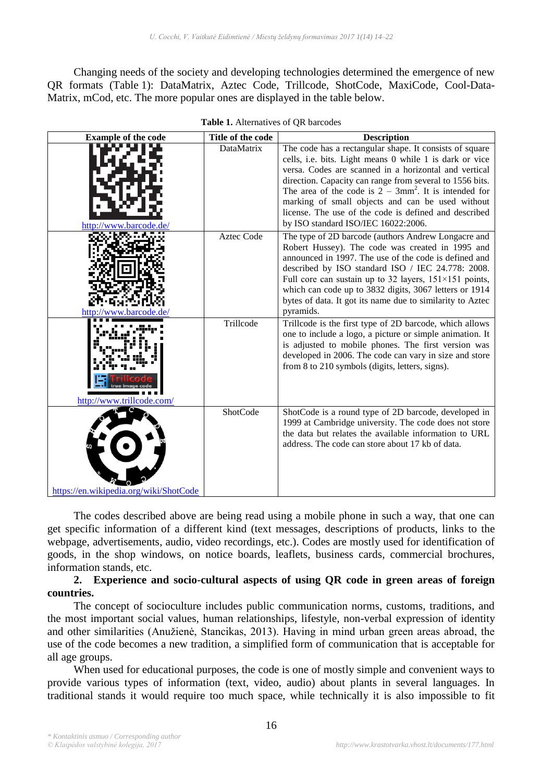Changing needs of the society and developing technologies determined the emergence of new QR formats (Table 1): DataMatrix, Aztec Code, Trillcode, ShotCode, MaxiCode, Cool-Data-Matrix, mCod, etc. The more popular ones are displayed in the table below.

| <b>Example of the code</b>             | Title of the code | <b>Description</b>                                                                                                                                                                                                                                                                                                                                                                                                                                      |  |
|----------------------------------------|-------------------|---------------------------------------------------------------------------------------------------------------------------------------------------------------------------------------------------------------------------------------------------------------------------------------------------------------------------------------------------------------------------------------------------------------------------------------------------------|--|
| http://www.barcode                     | <b>DataMatrix</b> | The code has a rectangular shape. It consists of square<br>cells, i.e. bits. Light means 0 while 1 is dark or vice<br>versa. Codes are scanned in a horizontal and vertical<br>direction. Capacity can range from several to 1556 bits.<br>The area of the code is $2 - 3mm^2$ . It is intended for<br>marking of small objects and can be used without<br>license. The use of the code is defined and described<br>by ISO standard ISO/IEC 16022:2006. |  |
| httn:<br>'/www.barcode.de              | <b>Aztec Code</b> | The type of 2D barcode (authors Andrew Longacre and<br>Robert Hussey). The code was created in 1995 and<br>announced in 1997. The use of the code is defined and<br>described by ISO standard ISO / IEC 24.778: 2008.<br>Full core can sustain up to 32 layers, $151 \times 151$ points,<br>which can code up to 3832 digits, 3067 letters or 1914<br>bytes of data. It got its name due to similarity to Aztec<br>pyramids.                            |  |
| http://www.trillcode.com/              | Trillcode         | Trillcode is the first type of 2D barcode, which allows<br>one to include a logo, a picture or simple animation. It<br>is adjusted to mobile phones. The first version was<br>developed in 2006. The code can vary in size and store<br>from 8 to 210 symbols (digits, letters, signs).                                                                                                                                                                 |  |
| https://en.wikipedia.org/wiki/ShotCode | ShotCode          | ShotCode is a round type of 2D barcode, developed in<br>1999 at Cambridge university. The code does not store<br>the data but relates the available information to URL<br>address. The code can store about 17 kb of data.                                                                                                                                                                                                                              |  |

| Table 1. Alternatives of QR barcodes |  |
|--------------------------------------|--|
|                                      |  |

The codes described above are being read using a mobile phone in such a way, that one can get specific information of a different kind (text messages, descriptions of products, links to the webpage, advertisements, audio, video recordings, etc.). Codes are mostly used for identification of goods, in the shop windows, on notice boards, leaflets, business cards, commercial brochures, information stands, etc.

## **2. Experience and socio**-**cultural aspects of using QR code in green areas of foreign countries.**

The concept of socioculture includes public communication norms, customs, traditions, and the most important social values, human relationships, lifestyle, non-verbal expression of identity and other similarities (Anužienė, Stancikas, 2013). Having in mind urban green areas abroad, the use of the code becomes a new tradition, a simplified form of communication that is acceptable for all age groups.

When used for educational purposes, the code is one of mostly simple and convenient ways to provide various types of information (text, video, audio) about plants in several languages. In traditional stands it would require too much space, while technically it is also impossible to fit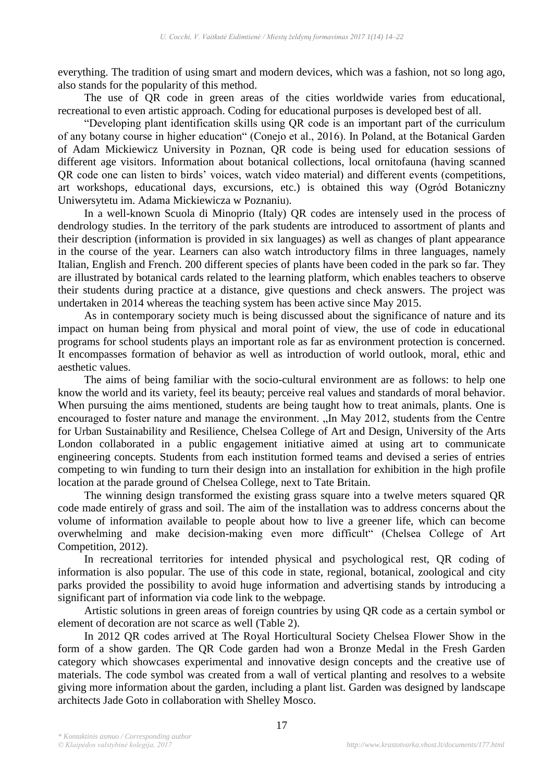everything. The tradition of using smart and modern devices, which was a fashion, not so long ago, also stands for the popularity of this method.

The use of QR code in green areas of the cities worldwide varies from educational, recreational to even artistic approach. Coding for educational purposes is developed best of all.

"Developing plant identification skills using QR code is an important part of the curriculum of any botany course in higher education" (Conejo et al., 2016). In Poland, at the Botanical Garden of Adam Mickiewicz University in Poznan, QR code is being used for education sessions of different age visitors. Information about botanical collections, local ornitofauna (having scanned QR code one can listen to birds' voices, watch video material) and different events (competitions, art workshops, educational days, excursions, etc.) is obtained this way (Ogród Botaniczny Uniwersytetu im. Adama Mickiewicza w Poznaniu).

In a well-known Scuola di Minoprio (Italy) QR codes are intensely used in the process of dendrology studies. In the territory of the park students are introduced to assortment of plants and their description (information is provided in six languages) as well as changes of plant appearance in the course of the year. Learners can also watch introductory films in three languages, namely Italian, English and French. 200 different species of plants have been coded in the park so far. They are illustrated by botanical cards related to the learning platform, which enables teachers to observe their students during practice at a distance, give questions and check answers. The project was undertaken in 2014 whereas the teaching system has been active since May 2015.

As in contemporary society much is being discussed about the significance of nature and its impact on human being from physical and moral point of view, the use of code in educational programs for school students plays an important role as far as environment protection is concerned. It encompasses formation of behavior as well as introduction of world outlook, moral, ethic and aesthetic values.

The aims of being familiar with the socio-cultural environment are as follows: to help one know the world and its variety, feel its beauty; perceive real values and standards of moral behavior. When pursuing the aims mentioned, students are being taught how to treat animals, plants. One is encouraged to foster nature and manage the environment. "In May 2012, students from the Centre for Urban Sustainability and Resilience, Chelsea College of Art and Design, University of the Arts London collaborated in a public engagement initiative aimed at using art to communicate engineering concepts. Students from each institution formed teams and devised a series of entries competing to win funding to turn their design into an installation for exhibition in the high profile location at the parade ground of Chelsea College, next to Tate Britain.

The winning design transformed the existing grass square into a twelve meters squared QR code made entirely of grass and soil. The aim of the installation was to address concerns about the volume of information available to people about how to live a greener life, which can become overwhelming and make decision-making even more difficult" (Chelsea College of Art Competition, 2012).

In recreational territories for intended physical and psychological rest, QR coding of information is also popular. The use of this code in state, regional, botanical, zoological and city parks provided the possibility to avoid huge information and advertising stands by introducing a significant part of information via code link to the webpage.

Artistic solutions in green areas of foreign countries by using QR code as a certain symbol or element of decoration are not scarce as well (Table 2).

In 2012 QR codes arrived at The Royal Horticultural Society Chelsea Flower Show in the form of a show garden. The QR Code garden had won a Bronze Medal in the Fresh Garden category which showcases experimental and innovative design concepts and the creative use of materials. The code symbol was created from a wall of vertical planting and resolves to a website giving more information about the garden, including a plant list. Garden was designed by landscape architects Jade Goto in collaboration with Shelley Mosco.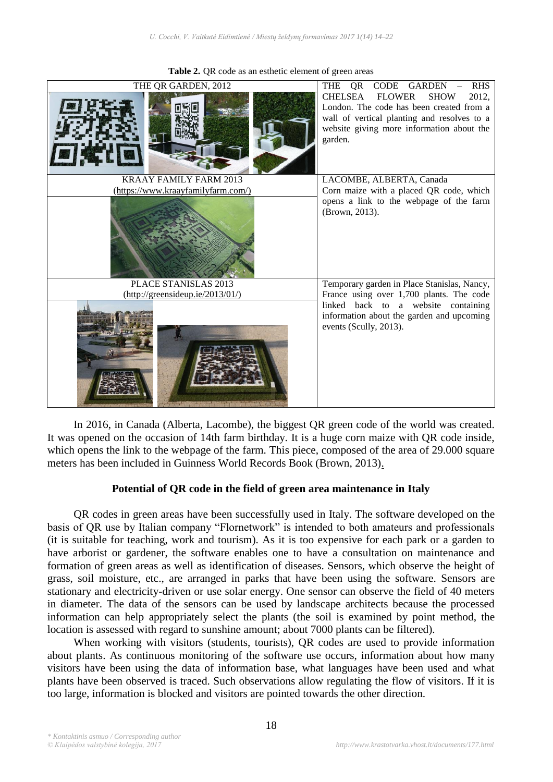

**Table 2.** QR code as an esthetic element of green areas

In 2016, in Canada (Alberta, Lacombe), the biggest QR green code of the world was created. It was opened on the occasion of 14th farm birthday. It is a huge corn maize with QR code inside, which opens the link to the webpage of the farm. This piece, composed of the area of 29.000 square meters has been included in Guinness World Records Book (Brown, 2013).

#### **Potential of QR code in the field of green area maintenance in Italy**

QR codes in green areas have been successfully used in Italy. The software developed on the basis of QR use by Italian company "Flornetwork" is intended to both amateurs and professionals (it is suitable for teaching, work and tourism). As it is too expensive for each park or a garden to have arborist or gardener, the software enables one to have a consultation on maintenance and formation of green areas as well as identification of diseases. Sensors, which observe the height of grass, soil moisture, etc., are arranged in parks that have been using the software. Sensors are stationary and electricity-driven or use solar energy. One sensor can observe the field of 40 meters in diameter. The data of the sensors can be used by landscape architects because the processed information can help appropriately select the plants (the soil is examined by point method, the location is assessed with regard to sunshine amount; about 7000 plants can be filtered).

When working with visitors (students, tourists), QR codes are used to provide information about plants. As continuous monitoring of the software use occurs, information about how many visitors have been using the data of information base, what languages have been used and what plants have been observed is traced. Such observations allow regulating the flow of visitors. If it is too large, information is blocked and visitors are pointed towards the other direction.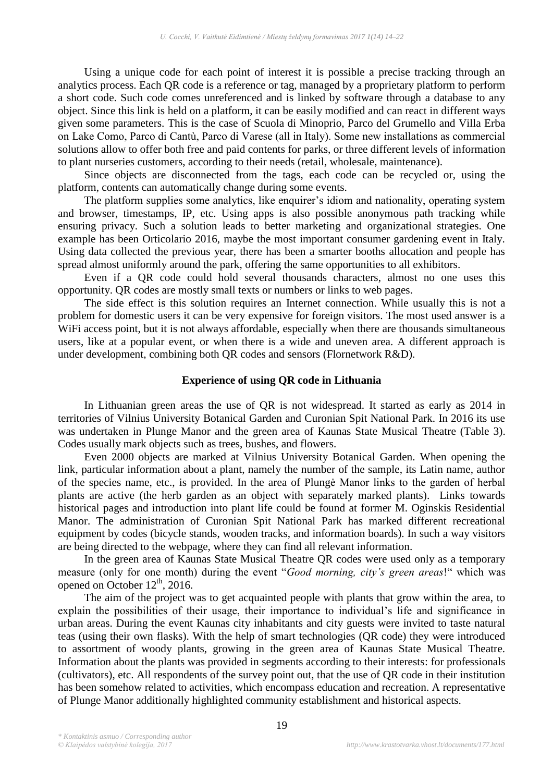Using a unique code for each point of interest it is possible a precise tracking through an analytics process. Each QR code is a reference or tag, managed by a proprietary platform to perform a short code. Such code comes unreferenced and is linked by software through a database to any object. Since this link is held on a platform, it can be easily modified and can react in different ways given some parameters. This is the case of Scuola di Minoprio, Parco del Grumello and Villa Erba on Lake Como, Parco di Cantù, Parco di Varese (all in Italy). Some new installations as commercial solutions allow to offer both free and paid contents for parks, or three different levels of information to plant nurseries customers, according to their needs (retail, wholesale, maintenance).

Since objects are disconnected from the tags, each code can be recycled or, using the platform, contents can automatically change during some events.

The platform supplies some analytics, like enquirer's idiom and nationality, operating system and browser, timestamps, IP, etc. Using apps is also possible anonymous path tracking while ensuring privacy. Such a solution leads to better marketing and organizational strategies. One example has been Orticolario 2016, maybe the most important consumer gardening event in Italy. Using data collected the previous year, there has been a smarter booths allocation and people has spread almost uniformly around the park, offering the same opportunities to all exhibitors.

Even if a QR code could hold several thousands characters, almost no one uses this opportunity. QR codes are mostly small texts or numbers or links to web pages.

The side effect is this solution requires an Internet connection. While usually this is not a problem for domestic users it can be very expensive for foreign visitors. The most used answer is a WiFi access point, but it is not always affordable, especially when there are thousands simultaneous users, like at a popular event, or when there is a wide and uneven area. A different approach is under development, combining both QR codes and sensors (Flornetwork R&D).

#### **Experience of using QR code in Lithuania**

In Lithuanian green areas the use of QR is not widespread. It started as early as 2014 in territories of Vilnius University Botanical Garden and Curonian Spit National Park. In 2016 its use was undertaken in Plunge Manor and the green area of Kaunas State Musical Theatre (Table 3). Codes usually mark objects such as trees, bushes, and flowers.

Even 2000 objects are marked at Vilnius University Botanical Garden. When opening the link, particular information about a plant, namely the number of the sample, its Latin name, author of the species name, etc., is provided. In the area of Plungė Manor links to the garden of herbal plants are active (the herb garden as an object with separately marked plants). Links towards historical pages and introduction into plant life could be found at former M. Oginskis Residential Manor. The administration of Curonian Spit National Park has marked different recreational equipment by codes (bicycle stands, wooden tracks, and information boards). In such a way visitors are being directed to the webpage, where they can find all relevant information.

In the green area of Kaunas State Musical Theatre QR codes were used only as a temporary measure (only for one month) during the event "*Good morning, city's green areas*!" which was opened on October  $12<sup>th</sup>$ , 2016.

The aim of the project was to get acquainted people with plants that grow within the area, to explain the possibilities of their usage, their importance to individual's life and significance in urban areas. During the event Kaunas city inhabitants and city guests were invited to taste natural teas (using their own flasks). With the help of smart technologies (QR code) they were introduced to assortment of woody plants, growing in the green area of Kaunas State Musical Theatre. Information about the plants was provided in segments according to their interests: for professionals (cultivators), etc. All respondents of the survey point out, that the use of QR code in their institution has been somehow related to activities, which encompass education and recreation. A representative of Plunge Manor additionally highlighted community establishment and historical aspects.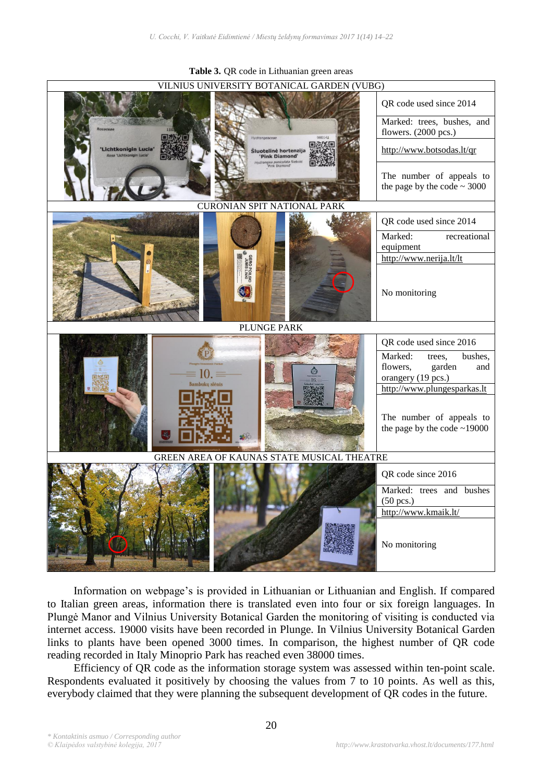

**Table 3.** QR code in Lithuanian green areas

Information on webpage's is provided in Lithuanian or Lithuanian and English. If compared to Italian green areas, information there is translated even into four or six foreign languages. In Plungė Manor and Vilnius University Botanical Garden the monitoring of visiting is conducted via internet access. 19000 visits have been recorded in Plunge. In Vilnius University Botanical Garden links to plants have been opened 3000 times. In comparison, the highest number of QR code reading recorded in Italy Minoprio Park has reached even 38000 times.

Efficiency of QR code as the information storage system was assessed within ten-point scale. Respondents evaluated it positively by choosing the values from 7 to 10 points. As well as this, everybody claimed that they were planning the subsequent development of QR codes in the future.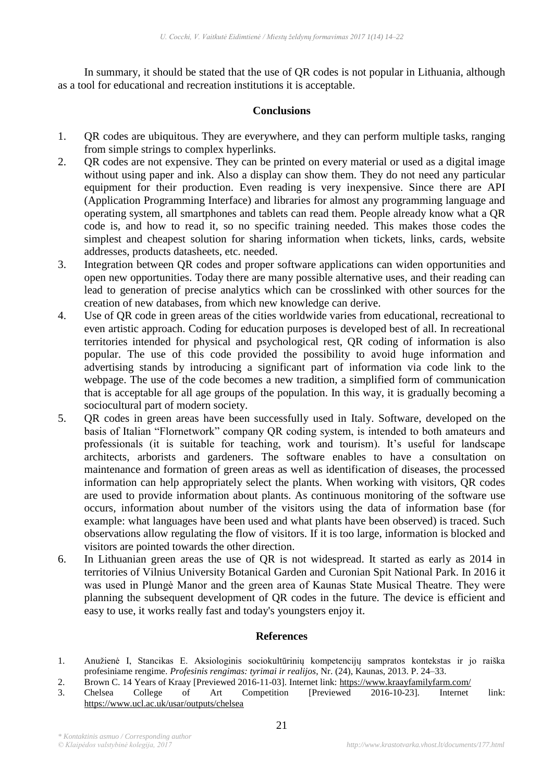In summary, it should be stated that the use of QR codes is not popular in Lithuania, although as a tool for educational and recreation institutions it is acceptable.

# **Conclusions**

- 1. QR codes are ubiquitous. They are everywhere, and they can perform multiple tasks, ranging from simple strings to complex hyperlinks.
- 2. QR codes are not expensive. They can be printed on every material or used as a digital image without using paper and ink. Also a display can show them. They do not need any particular equipment for their production. Even reading is very inexpensive. Since there are API (Application Programming Interface) and libraries for almost any programming language and operating system, all smartphones and tablets can read them. People already know what a QR code is, and how to read it, so no specific training needed. This makes those codes the simplest and cheapest solution for sharing information when tickets, links, cards, website addresses, products datasheets, etc. needed.
- 3. Integration between QR codes and proper software applications can widen opportunities and open new opportunities. Today there are many possible alternative uses, and their reading can lead to generation of precise analytics which can be crosslinked with other sources for the creation of new databases, from which new knowledge can derive.
- 4. Use of QR code in green areas of the cities worldwide varies from educational, recreational to even artistic approach. Coding for education purposes is developed best of all. In recreational territories intended for physical and psychological rest, QR coding of information is also popular. The use of this code provided the possibility to avoid huge information and advertising stands by introducing a significant part of information via code link to the webpage. The use of the code becomes a new tradition, a simplified form of communication that is acceptable for all age groups of the population. In this way, it is gradually becoming a sociocultural part of modern society.
- 5. QR codes in green areas have been successfully used in Italy. Software, developed on the basis of Italian "Flornetwork" company QR coding system, is intended to both amateurs and professionals (it is suitable for teaching, work and tourism). It's useful for landscape architects, arborists and gardeners. The software enables to have a consultation on maintenance and formation of green areas as well as identification of diseases, the processed information can help appropriately select the plants. When working with visitors, QR codes are used to provide information about plants. As continuous monitoring of the software use occurs, information about number of the visitors using the data of information base (for example: what languages have been used and what plants have been observed) is traced. Such observations allow regulating the flow of visitors. If it is too large, information is blocked and visitors are pointed towards the other direction.
- 6. In Lithuanian green areas the use of QR is not widespread. It started as early as 2014 in territories of Vilnius University Botanical Garden and Curonian Spit National Park. In 2016 it was used in Plungė Manor and the green area of Kaunas State Musical Theatre. They were planning the subsequent development of QR codes in the future. The device is efficient and easy to use, it works really fast and today's youngsters enjoy it.

## **References**

- 1. Anužienė I, Stancikas E. Aksiologinis sociokultūrinių kompetencijų sampratos kontekstas ir jo raiška profesiniame rengime. *Profesinis rengimas: tyrimai ir realijos*, Nr. (24), Kaunas, 2013. P. 24–33.
- 2. Brown C. 14 Years of Kraay [Previewed 2016-11-03]. Internet link: https://www.kraayfamilyfarm.com/
- 3. Chelsea College of Art Competition [Previewed 2016-10-23]. Internet link: https://www.ucl.ac.uk/usar/outputs/chelsea